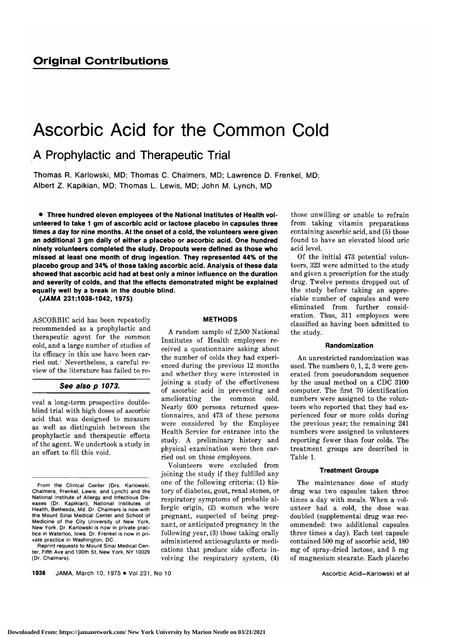# Ascorbic Acid for the Common Cold

A Prophylactic and Therapeutic Trial

Thomas R. Karlowski, MD; Thomas C. Chalmers, MD; Lawrence D. Frenkel, MD; Albert Z. Kapikian, MD; Thomas L. Lewis, MD; John M. Lynch, MD

Three hundred eleven employees of the National Institutes of Health volunteered to take <sup>1</sup> gm of ascorbic acid or lactose placebo in capsules three times <sup>a</sup> day for nine months. At the onset of <sup>a</sup> cold, the volunteers were given an additional <sup>3</sup> gm daily of either <sup>a</sup> placebo or ascorbic acid. One hundred ninety volunteers completed the study. Dropouts were defined as those who missed at least one month of drug ingestion. They represented 44% of the placebo group and 34% of those taking ascorbic acid. Analysis of these data showed that ascorbic acid had at best only <sup>a</sup> minor influence on the duration and severity of colds, and that the effects demonstrated might be explained equally well by <sup>a</sup> break in the double blind.

(JAMA 231:1038-1042, 1975)

ASCORBIC acid has been repeatedly recommended as <sup>a</sup> prophylactic and therapeutic agent for the common cold, and <sup>a</sup> large number of studies of its efficacy in this use have been carried out.<sup>1</sup> Nevertheless, a careful review of the literature has failed to re-

# See also p 1073.

veal <sup>a</sup> long-term prospective doubleblind trial with high doses of ascorbic acid that was designed to measure as well as distinguish between the prophylactic and therapeutic effects of the agent. We undertook <sup>a</sup> study in an effort to fill this void.

### METHODS

A random sample of 2,500 National Institutes of Health employees received <sup>a</sup> questionnaire asking about the number of colds they had experienced during the previous <sup>12</sup> months and whether they were interested in joining <sup>a</sup> study of the effectiveness of ascorbic acid in preventing and ameliorating the common cold. Nearly 600 persons returned questionnaires, and <sup>473</sup> of these persons were considered by the Employee Health Service for entrance into the study. A preliminary history and physical examination were then carried out on these employees.

Volunteers were excluded from joining the study if they fulfilled any one of the following criteria:  $(1)$  history of diabetes, gout, renal stones, or respiratory symptoms of probable allergic origin, (2) women who were pregnant, suspected of being pregnant, or anticipated pregnancy in the following year, (3) those taking orally administered anticoagulants or medi cations that produce side effects in volving the respiratory system, (4)

those unwilling or unable to refrain from taking vitamin preparations containing ascorbic acid, and (5) those found to have an elevated blood uric acid level.

Of the initial 473 potential volunteers, <sup>323</sup> were admitted to the study and given <sup>a</sup> prescription for the study drug. Twelve persons dropped out of the study before taking an appreciable number of capsules and were eliminated from further consideration. Thus, <sup>311</sup> employees were classified as having been admitted to the study.

## Randomization

An unrestricted randomization was used. The numbers  $0, 1, 2, 3$  were generated from pseudorandom sequence by the usual method on <sup>a</sup> CDC 3100 computer. The first <sup>70</sup> identification numbers were assigned to the volunteers who reported that they had experienced four or more colds during the previous year; the remaining <sup>241</sup> numbers were assigned to volunteers reporting fewer than four colds. The treatment groups are described in Table 1.

## Treatment Groups

The maintenance dose of study drug was two capsules taken three times a day with meals. When a volunteer had a cold, the dose was doubled (supplemental drug was recommended: two additional capsules three times <sup>a</sup> day). Each test capsule contained <sup>500</sup> mg of ascorbic acid, <sup>180</sup> mg of spray-dried lactose, and <sup>5</sup> mg of magnesium stéarate. Each placebo

1038 JAMA, March 10, 1975 . Vol 231, No 10

From the Clinical Center (Drs. Karlowski, Chalmers, Frenkel, Lewis, and Lynch) and the National Institute of Allergy and Infectious Diseases (Dr. Kapikian), National Institutes of Health, Bethesda, Md. Dr. Chalmers is now with the Mount Sinai Medical Center and School of Medicine of the City University of New York, New York. Dr. Karlowski is now in private practice in Waterloo, Iowa. Dr. Frenkel is now in private practice in Washington, DC.

Reprint requests to Mount Sinai Medical Center, Fifth Ave and 100th St, New York, NY 10029 (Dr. Chalmers).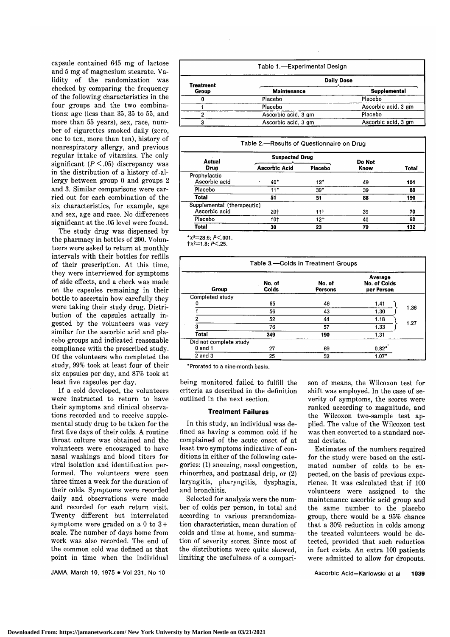capsule contained <sup>645</sup> mg of lactose and 5 mg of magnesium stearate. Validity of the randomization was checked by comparing the frequency of the following characteristics in the four groups and the two combinations: age (less than 35, <sup>35</sup> to 55, and more than 55 years), sex, race, number of cigarettes smoked daily (zero, one to ten, more than ten), history of nonrespiratory allergy, and previous regular intake of vitamins. The only significant  $(P \le 0.05)$  discrepancy was in the distribution of a history of allergy between group <sup>0</sup> and groups <sup>2</sup> and 3. Similar comparisons were carried out for each combination of the six characteristics, for example, age and sex, age and race. No differences significant at the .05 level were found.

The study drug was dispensed by the pharmacy in bottles of 200. Volunteers were asked to return at monthly intervals with their bottles for refills of their prescription. At this time, they were interviewed for symptoms of side effects, and <sup>a</sup> check was made on the capsules remaining in their bottle to ascertain how carefully they were taking their study drug. Distribution of the capsules actually in gested by the volunteers was very similar for the ascorbic acid and placebo groups and indicated reasonable compliance with the prescribed study. Of the volunteers who completed the study, 99% took at least four of their six capsules per day, and 87% took at least five capsules per day.

If <sup>a</sup> cold developed, the volunteers were instructed to return to have their symptoms and clinical observations recorded and to receive supplemental study drug to be taken for the first five days of their colds. A routine throat culture was obtained and the volunteers were encouraged to have nasal washings and blood titers for viral isolation and identification performed. The volunteers were seen three times a week for the duration of their colds. Symptoms were recorded daily and observations were made and recorded for each return visit. Twenty different but interrelated symptoms were graded on a 0 to  $3+$ scale. The number of days home from work was also recorded. The end of the common cold was defined as that point in time when the individual

JAMA, March 10, 1975 . Vol 231, No 10

|                  | Table 1.-Experimental Design |                     |
|------------------|------------------------------|---------------------|
| <b>Treatment</b> |                              | <b>Daily Dose</b>   |
| Group            | <b>Maintenance</b>           | <b>Supplemental</b> |
|                  | Placebo                      | Placebo             |
|                  | Placebo                      | Ascorbic acid, 3 gm |
|                  | Ascorbic acid, 3 gm          | Placebo             |
|                  | Ascorbic acid, 3 gm          | Ascorbic acid, 3 gm |

| Table 2.-Results of Questionnaire on Drug |  |  |  |
|-------------------------------------------|--|--|--|
|-------------------------------------------|--|--|--|

| <b>Actual</b>              | <b>Suspected Drug</b> |                 | Do Not | Total |  |
|----------------------------|-----------------------|-----------------|--------|-------|--|
| Drug                       | Ascorbic Acid         | <b>Placebo</b>  | Know   |       |  |
| Prophylactic               |                       |                 |        |       |  |
| Ascorbic acid              | $40^*$<br>$\cdot$     | 12*             | 49     | 101   |  |
| Placebo                    | 11*                   | $39*$           | 39     | 89    |  |
| <b>Total</b>               | 51                    | 51              | 88     | 190   |  |
| Supplemental (therapeutic) |                       |                 |        |       |  |
| Ascorbic acid              | 20†                   | 11 <sup>†</sup> | 39     | 70    |  |
| Placebo                    | 10†                   | 12†             | 40     | 62    |  |
| <b>Total</b>               | 30                    | 23              | 79     | 132   |  |

 $*_{x^2=28.6}$ ; P<.001.

 $+x^2=1.8; P<.25.$ 

| Table 3.-Colds in Treatment Groups                                                     |     |     |         |      |  |  |
|----------------------------------------------------------------------------------------|-----|-----|---------|------|--|--|
| Average<br>No. of Colds<br>No. of<br>No. of<br>Colds<br>Group<br>Persons<br>per Person |     |     |         |      |  |  |
| Completed study                                                                        |     |     |         |      |  |  |
|                                                                                        | 65  | 46  | 1.41    |      |  |  |
|                                                                                        | 56  | 43  | 1.30    | 1.36 |  |  |
|                                                                                        | 52  | 44  | 1.18    |      |  |  |
| з                                                                                      | 76  | 57  | 1.33    | 1.27 |  |  |
| <b>Total</b>                                                                           | 249 | 190 | 1.31    |      |  |  |
| Did not complete study                                                                 |     |     |         |      |  |  |
| $0$ and $1$                                                                            | 27  | 69  | $0.82*$ |      |  |  |
| $2$ and $3$                                                                            | 25  | 52  | $1.07*$ |      |  |  |

'Prorated to <sup>a</sup> nine-month basis.

being monitored failed to fulfill the criteria as described in the definition outlined in the next section.

## Treatment Failures

In this study, an individual was defined as having <sup>a</sup> common cold if he complained of the acute onset of at least two symptoms indicative of conditions in either of the following categories: (1) sneezing, nasal congestion, rhinorrhea, and postnasal drip, or (2) laryngitis, pharyngitis, dysphagia, and bronchitis.

Selected for analysis were the num ber of colds per person, in total and according to various prerandomization characteristics, mean duration of colds and time at home, and summation of severity scores. Since most of the distributions were quite skewed, limiting the usefulness of <sup>a</sup> comparison of means, the Wilcoxon test for shift was employed. In the case of severity of symptoms, the scores were ranked according to magnitude, and the Wilcoxon two-sample test applied. The value of the Wilcoxon test was then converted to a standard normal deviate.

Estimates of the numbers required for the study were based on the estimated number of colds to be expected, on the basis of previous experience. It was calculated that if <sup>100</sup> volunteers were assigned to the maintenance ascorbic acid group and the same number to the placebo group, there would be <sup>a</sup> 95% chance that <sup>a</sup> 30% reduction in colds among the treated volunteers would be detected, provided that such reduction in fact exists. An extra <sup>100</sup> patients were admitted to allow for dropouts.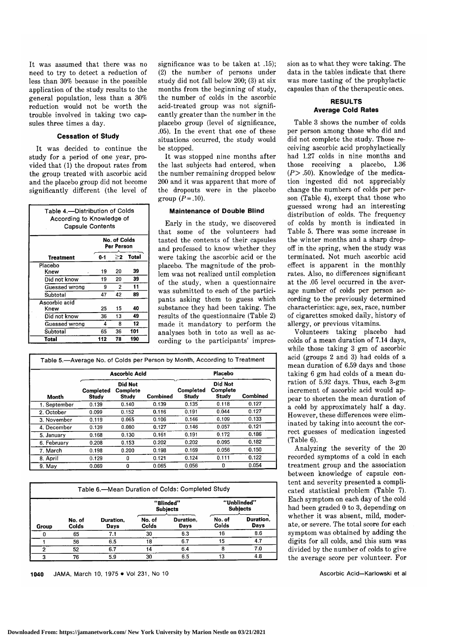It was assumed that there was no need to try to detect <sup>a</sup> reduction of less than 30% because in the possible application of the study results to the general population, less than <sup>a</sup> 30% reduction would not be worth the trouble involved in taking two capsules three times <sup>a</sup> day.

## Cessation of Study

It was decided to continue the study for a period of one year, provided that (1) the dropout rates from the group treated with ascorbic acid and the placebo group did not become significantly different (the level of

| Table 4.-Distribution of Colds<br>According to Knowledge of<br><b>Capsule Contents</b> |                                     |    |     |  |  |  |  |  |
|----------------------------------------------------------------------------------------|-------------------------------------|----|-----|--|--|--|--|--|
|                                                                                        | No, of Colds<br>Per Person          |    |     |  |  |  |  |  |
| Treatment                                                                              | <b>Total</b><br>$0 - 1$<br>$\geq_2$ |    |     |  |  |  |  |  |
| Placebo                                                                                |                                     |    |     |  |  |  |  |  |
| Knew                                                                                   | 19                                  | 20 | 39  |  |  |  |  |  |
| Did not know                                                                           | 19                                  | 20 | 39  |  |  |  |  |  |
| Guessed wrong                                                                          | 9                                   | 2  | 11  |  |  |  |  |  |
| Subtotal                                                                               | 47                                  | 42 | 89  |  |  |  |  |  |
| Ascorbic acid                                                                          |                                     |    |     |  |  |  |  |  |
| Knew                                                                                   | 25                                  | 15 | 40  |  |  |  |  |  |
| Did not know                                                                           | 36                                  | 13 | 49  |  |  |  |  |  |
| Guessed wrong                                                                          | 4                                   | 8  | 12  |  |  |  |  |  |
| Subtotal                                                                               | 65                                  | 36 | 101 |  |  |  |  |  |
| Total                                                                                  | 112                                 | 78 | 190 |  |  |  |  |  |

significance was to be taken at .15); (2) the number of persons under study did not fall below 200; (3) at six months from the beginning of study, the number of colds in the ascorbic acid-treated group was not significantly greater than the number in the placebo group (level of significance, .05). In the event that one of these situations occurred, the study would be stopped.

It was stopped nine months after the last subjects had entered, when the number remaining dropped below <sup>200</sup> and it was apparent that more of the dropouts were in the placebo group  $(P=.10)$ .

# Maintenance of Double Blind

Early in the study, we discovered that some of the volunteers had tasted the contents of their capsules and professed to know whether they were taking the ascorbic acid or the placebo. The magnitude of the problem was not realized until completion of the study, when <sup>a</sup> questionnaire was submitted to each of the participants asking them to guess which substance they had been taking. The results of the questionnaire (Table 2) made it mandatory to perform the analyses both in toto as well as according to the participants' impres-

|              |                           | <b>Ascorbic Acid</b>                |          | Placebo                   |                              |          |  |
|--------------|---------------------------|-------------------------------------|----------|---------------------------|------------------------------|----------|--|
| Month        | Completed<br><b>Study</b> | <b>Did Not</b><br>Complete<br>Study | Combined | Completed<br><b>Study</b> | Did Not<br>Complete<br>Study | Combined |  |
| 1. September | 0.139                     | 0.140                               | 0.139    | 0.135                     | 0.118                        | 0.127    |  |
| 2. October   | 0.099                     | 0.152                               | 0.116    | 0.191                     | 0.044                        | 0.127    |  |
| 3. November  | 0.119                     | 0.065                               | 0.106    | 0.146                     | 0.109                        | 0.133    |  |
| 4. December  | 0.139                     | 0.080                               | 0.127    | 0.146                     | 0.057                        | 0.121    |  |
| 5. January   | 0.168                     | 0.130                               | 0.161    | 0.191                     | 0.172                        | 0.186    |  |
| 6. February  | 0.208                     | 0.153                               | 0.202    | 0.202                     | 0.095                        | 0.182    |  |
| 7. March     | 0.198                     | 0.200                               | 0.198    | 0.169                     | 0.056                        | 0.150    |  |
| 8. April     | 0.129                     | 0                                   | 0.121    | 0.124                     | 0.111                        | 0.122    |  |
| 9. May       | 0.069                     | 0                                   | 0.065    | 0.056                     | 0                            | 0.054    |  |

| Table 6.-Mean Duration of Colds: Completed Study |                 |                   |                 |                              |                                |                   |  |  |
|--------------------------------------------------|-----------------|-------------------|-----------------|------------------------------|--------------------------------|-------------------|--|--|
|                                                  |                 |                   |                 | "Blinded"<br><b>Subjects</b> | "Unblinded"<br><b>Subjects</b> |                   |  |  |
| Group                                            | No. of<br>Colds | Duration,<br>Days | No. of<br>Colds | Duration.<br>Days            | No. of<br>Colds                | Duration.<br>Days |  |  |
|                                                  | 65              | 7.1               | 30              | 6.3                          | 16                             | 8.6               |  |  |
|                                                  | 56              | 6.5               | 18              | 6.7                          | 15                             | 4.7               |  |  |
| 2                                                | 52              | 6.7               | 14              | 6.4                          | 8                              | 7.0               |  |  |
|                                                  | 76              | 5.9               | 30              | 6.5                          | 13                             | 4.8               |  |  |

JAMA, March 10, 1975 . Vol 231, No 10 1040

sion as to what they were taking. The data in the tables indicate that there was more tasting of the prophylactic capsules than of the therapeutic ones.

# RESULTS Average Cold Rates

Table 3 shows the number of colds per person among those who did and did not complete the study. Those receiving ascorbic acid prophylactically had 1.27 colds in nine months and those receiving a placebo, 1.36  $(P > .50)$ . Knowledge of the medication ingested did not appreciably change the numbers of colds per person (Table 4), except that those who guessed wrong had an interesting distribution of colds. The frequency of colds by month is indicated in Table 5. There was some increase in the winter months and a sharp dropoff in the spring, when the study was terminated. Not much ascorbic acid effect is apparent in the monthly rates. Also, no differences significant at the .05 level occurred in the average number of colds per person according to the previously determined characteristics: age, sex, race, number of cigarettes smoked daily, history of allergy, or previous vitamins.

Volunteers taking placebo had colds of <sup>a</sup> mean duration of 7.14 days, while those taking <sup>3</sup> gm of ascorbic acid (groups <sup>2</sup> and 3) had colds of <sup>a</sup> mean duration of 6.59 days and those taking 6 gm had colds of a mean duration of 5.92 days. Thus, each 3-gm increment of ascorbic acid would appear to shorten the mean duration of <sup>a</sup> cold by approximately half <sup>a</sup> day. However, these differences were elim inated by taking into account the correct guesses of medication ingested (Table 6).

Analyzing the severity of the <sup>20</sup> recorded symptoms of <sup>a</sup> cold in each treatment group and the association between knowledge of capsule con tent and severity presented a complicated statistical problem (Table 7). Each symptom on each day of the cold had been graded <sup>0</sup> to 3, depending on whether it was absent, mild, moderate, or severe. The total score for each symptom was obtained by adding the digits for all colds, and this sum was divided by the number of colds to give the average score per volunteer. For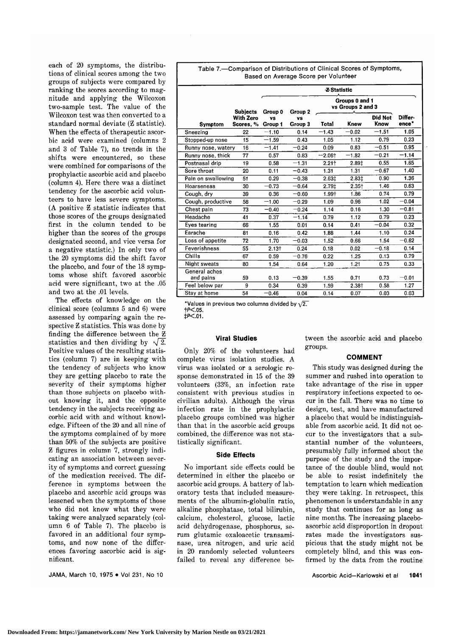each of  $20$  symptoms, the distributions of clinical scores among the two groups of subjects were compared by ranking the scores according to magnitude and applying the Wilcoxon two-sample test. The value of the Wilcoxon test was then converted to a standard normal deviate (Z statistic). When the effects of therapeutic ascorbic acid were examined (columns <sup>2</sup> and <sup>3</sup> of Table 7), no trends in the shifts were encountered, so these were combined for comparisons of the prophylactic ascorbic acid and placebo (column 4). Here there was <sup>a</sup> distinct tendency for the ascorbic acid volunteers to have less severe symptoms. (A positive <sup>Z</sup> statistic indicates that those scores of the groups designated first in the column tended to be higher than the scores of the groups designated second, and vice versa for <sup>a</sup> negative statistic.) In only two of the <sup>20</sup> symptoms did the shift favor the placebo, and four of the 18 symptoms whose shift favored ascorbic acid were significant, two at the .05 and two at the .01 levels.

The effects of knowledge on the clinical score (columns <sup>5</sup> and 6) were assessed by comparing again the respective <sup>Z</sup> statistics. This was done by finding the difference between the Z statistics and then dividing by  $\sqrt{2}$ . Positive values of the resulting statistics (column 7) are in keeping with the tendency of subjects who know they are getting placebo to rate the severity of their symptoms higher than those subjects on placebo without knowing it, and the opposite tendency in the subjects receiving ascorbic acid with and without knowledge. Fifteen of the <sup>20</sup> and all nine of the symptoms complained of by more than 50% of the subjects are positive <sup>Z</sup> figures in column 7, strongly indi cating an association between severity of symptoms and correct guessing of the medication received. The difference in symptoms between the placebo and ascorbic acid groups was lessened when the symptoms of those who did not know what they were taking were analyzed separately (column <sup>6</sup> of Table 7). The placebo is favored in an additional four symptoms, and now none of the differences favoring ascorbic acid is significant.

JAMA, March 10, 1975 . Vol 231, No 10

Table 7.—Comparison of Distributions of Clinical Scores of Symptoms, Based on Average Score per Volunteer

|                            |                                                                              | <b>Z</b> Statistic   |                      |                      |          |                 |                              |
|----------------------------|------------------------------------------------------------------------------|----------------------|----------------------|----------------------|----------|-----------------|------------------------------|
|                            | Groups 0 and 1<br>vs Groups 2 and 3<br><b>Subjects</b><br>Group 0<br>Group 2 |                      |                      |                      |          |                 |                              |
| <b>Symptom</b>             | With Zero<br>Scores, %                                                       | <b>VS</b><br>Group 1 | <b>vs</b><br>Group 3 | Total                | Knew     | Did Not<br>Know | Differ-<br>ence <sup>*</sup> |
| Sneezing                   | 22                                                                           | $-1.10$              | 0.14                 | $-1.43$              | $-0.02$  | $-1.51$         | 1.05                         |
| Stopped-up nose            | 15                                                                           | $-1.59$              | 0.43                 | 1.05                 | 1.12     | 0.79            | 0.23                         |
| Runny nose, watery         | 16                                                                           | $-1.41$              | $-0.24$              | 0.09                 | 0.83     | $-0.51$         | 0.95                         |
| Runny nose, thick          | 77                                                                           | 0.57                 | 0.83                 | $-2.06$ <sup>+</sup> | $-1.82$  | $-0.21$         | $-1.14$                      |
| Postnasal drip             | 19                                                                           | 0.58                 | $-1.31$              | $2.21 +$             | 2.89‡    | 0.55            | 1.65                         |
| Sore throat                | 20                                                                           | 0.11                 | $-0.43$              | 1.31                 | 1.31     | $-0.67$         | 1.40                         |
| Pain on swallowing         | 51                                                                           | 0.29                 | $-0.38$              | $2.63+$              | 2.83‡    | 0.90            | 1.36                         |
| Hoarseness                 | 30                                                                           | $-0.73$              | $-0.64$              | 2.79±                | $2.35 +$ | 1.46            | 0.63                         |
| Cough, dry                 | 39                                                                           | 0.36                 | $-0.60$              | 1.99+                | 1.86     | 0.74            | 0.79                         |
| Cough, productive          | 58                                                                           | $-1.00$              | $-0.29$              | 1.09                 | 0.96     | 1.02            | $-0.04$                      |
| Chest pain                 | 73                                                                           | $-0.40$              | $-0.24$              | 1.14                 | 0.16     | 1.30            | $-0.81$                      |
| Headache                   | 41                                                                           | 0.37                 | $-1.14$              | 0.79                 | 1.12     | 0.79            | 0.23                         |
| Eves tearing               | 66                                                                           | 1.55                 | 0.01                 | 0.14                 | 0.41     | $-0.04$         | 0.32                         |
| Earache                    | 81                                                                           | 0.16                 | 0.42                 | 1.88                 | 1.44     | 1.10            | 0.24                         |
| Loss of appetite           | 72                                                                           | 1.70                 | $-0.03$              | 1.52                 | 0.66     | 1.54            | $-0.62$                      |
| Feverishness               | 55                                                                           | $2.13+$              | 0.24                 | 0.18                 | 0.02     | $-0.18$         | 0.14                         |
| Chills                     | 67                                                                           | 0.59                 | $-0.76$              | 0.22                 | 1.25     | 0.13            | 0.79                         |
| Night sweats               | 80                                                                           | 1.54                 | 0.64                 | 1.20                 | 1.21     | 0.75            | 0.33                         |
| General aches<br>and pains | 59                                                                           | 0.13                 | $-0.39$              | 1.55                 | 0.71     | 0.73            | $-0.01$                      |
| Feel below par             | 9                                                                            | 0.34                 | 0.39                 | 1.59                 | 2.38+    | 0.58            | 1.27                         |
| Stay at home               | 54                                                                           | $-0.46$              | 0.04                 | 0.14                 | 0.07     | 0.03            | 0.03                         |

"Values in previous two columns divided by  $\sqrt{2}$ .  $+P<.05$ <br> $+P<.01$ .

### Viral Studies

Only 20% of the volunteers had complete virus isolation studies. A virus was isolated or a serologic response demonstrated in <sup>15</sup> of the <sup>39</sup> volunteers (33%, an infection rate consistent with previous studies in civilian adults). Although the virus infection rate in the prophylactic placebo groups combined was higher than that in the ascorbic acid groups combined, the difference was not statistically significant.

## Side Effects

No important side effects could be determined in either the placebo or ascorbic acid groups. A battery of lab oratory tests that included measurements of the albumin-globulin ratio, alkaline phosphatase, total bilirubin, calcium, cholesterol, glucose, lactic acid dehydrogenase, phosphorus, serum glutamic oxaloacetic transaminase, urea nitrogen, and uric acid in <sup>20</sup> randomly selected volunteers failed to reveal any difference between the ascorbic acid and placebo groups.

#### COMMENT

This study was designed during the summer and rushed into operation to take advantage of the rise in upper respiratory infections expected to oc cur in the fall. There was no time to design, test, and have manufactured a placebo that would be indistinguishable from ascorbic acid. It did not occur to the investigators that a substantial number of the volunteers, presumably fully informed about the purpose of the study and the importance of the double blind, would not be able to resist indefinitely the temptation to learn which medication they were taking. In retrospect, this phenomenon is understandable in any study that continues for as long as nine months. The increasing placeboascorbic acid disproportion in dropout rates made the investigators suspicious that the study might not be completely blind, and this was confirmed by the data from the routine